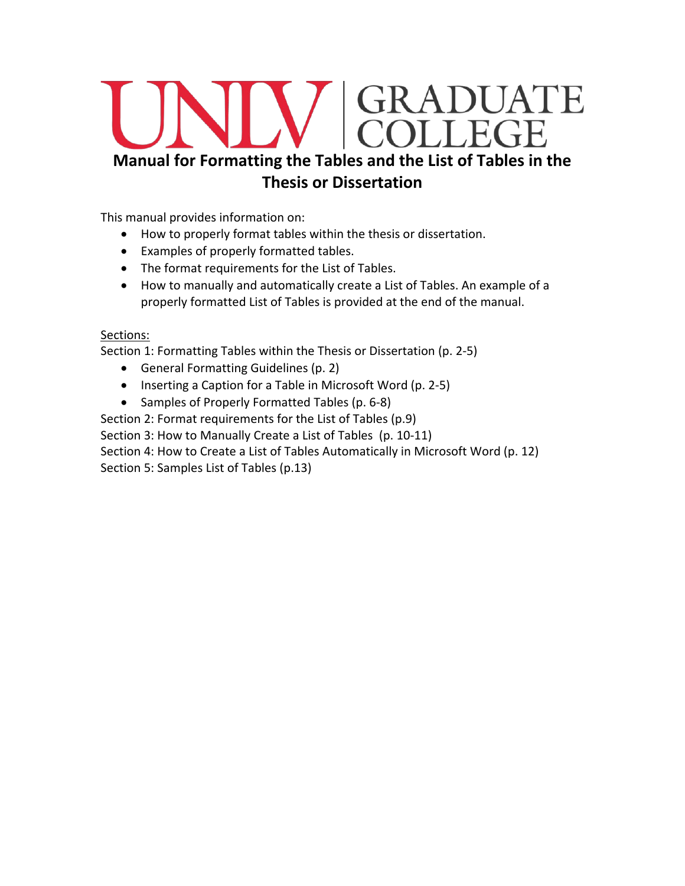# COLLEGE **Manual for Formatting the Tables and the List of Tables in the Thesis or Dissertation**

This manual provides information on:

- How to properly format tables within the thesis or dissertation.
- Examples of properly formatted tables.
- The format requirements for the List of Tables.
- How to manually and automatically create a List of Tables. An example of a properly formatted List of Tables is provided at the end of the manual.

## Sections:

Section 1: Formatting Tables within the Thesis or Dissertation (p. 2-5)

- General Formatting Guidelines (p. 2)
- Inserting a Caption for a Table in Microsoft Word (p. 2-5)
- Samples of Properly Formatted Tables (p. 6-8)

Section 2: Format requirements for the List of Tables (p.9)

Section 3: How to Manually Create a List of Tables (p. 10-11)

Section 4: How to Create a List of Tables Automatically in Microsoft Word (p. 12)

Section 5: Samples List of Tables (p.13)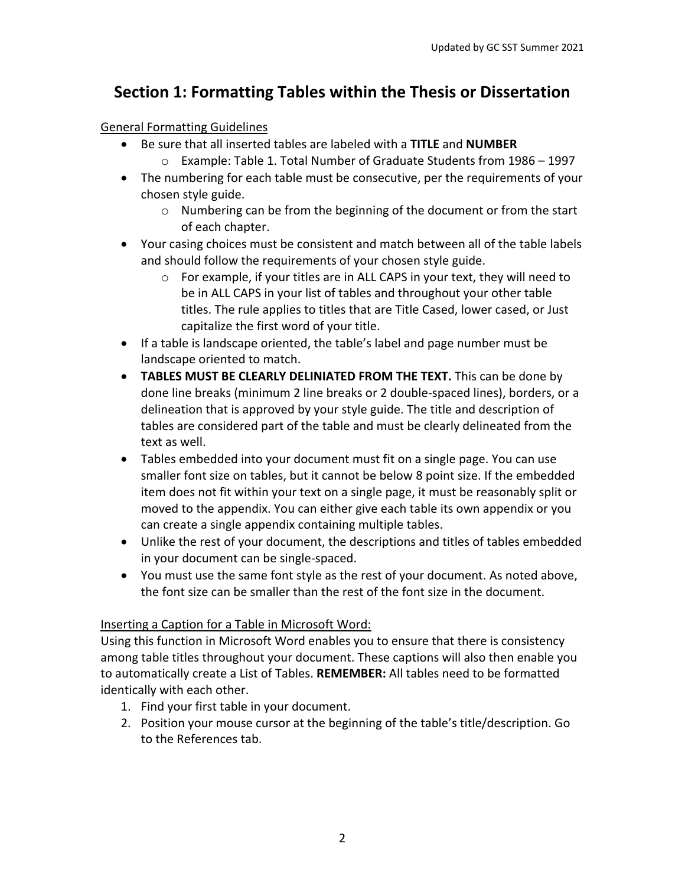# **Section 1: Formatting Tables within the Thesis or Dissertation**

## General Formatting Guidelines

- Be sure that all inserted tables are labeled with a **TITLE** and **NUMBER** o Example: Table 1. Total Number of Graduate Students from 1986 – 1997
- The numbering for each table must be consecutive, per the requirements of your chosen style guide.
	- o Numbering can be from the beginning of the document or from the start of each chapter.
- Your casing choices must be consistent and match between all of the table labels and should follow the requirements of your chosen style guide.
	- o For example, if your titles are in ALL CAPS in your text, they will need to be in ALL CAPS in your list of tables and throughout your other table titles. The rule applies to titles that are Title Cased, lower cased, or Just capitalize the first word of your title.
- If a table is landscape oriented, the table's label and page number must be landscape oriented to match.
- **TABLES MUST BE CLEARLY DELINIATED FROM THE TEXT.** This can be done by done line breaks (minimum 2 line breaks or 2 double-spaced lines), borders, or a delineation that is approved by your style guide. The title and description of tables are considered part of the table and must be clearly delineated from the text as well.
- Tables embedded into your document must fit on a single page. You can use smaller font size on tables, but it cannot be below 8 point size. If the embedded item does not fit within your text on a single page, it must be reasonably split or moved to the appendix. You can either give each table its own appendix or you can create a single appendix containing multiple tables.
- Unlike the rest of your document, the descriptions and titles of tables embedded in your document can be single-spaced.
- You must use the same font style as the rest of your document. As noted above, the font size can be smaller than the rest of the font size in the document.

## Inserting a Caption for a Table in Microsoft Word:

Using this function in Microsoft Word enables you to ensure that there is consistency among table titles throughout your document. These captions will also then enable you to automatically create a List of Tables. **REMEMBER:** All tables need to be formatted identically with each other.

- 1. Find your first table in your document.
- 2. Position your mouse cursor at the beginning of the table's title/description. Go to the References tab.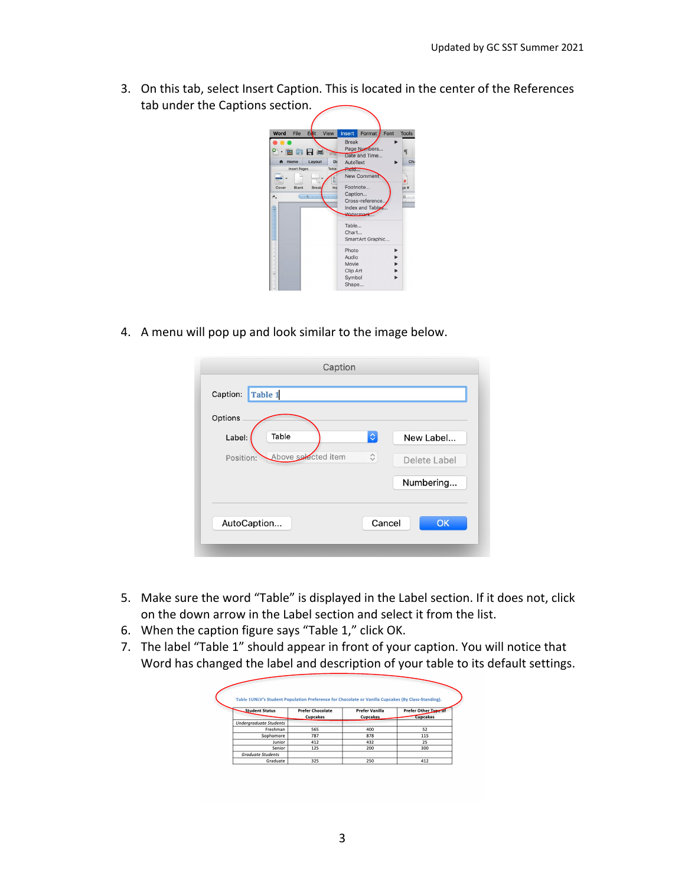3. On this tab, select Insert Caption. This is located in the center of the References tab under the Captions section.

| File<br>Word                     | Edit                                                                                                                          | View | Insert                                                                                                                                                                                  | Format            | Font | <b>Tools</b>                    |
|----------------------------------|-------------------------------------------------------------------------------------------------------------------------------|------|-----------------------------------------------------------------------------------------------------------------------------------------------------------------------------------------|-------------------|------|---------------------------------|
| $\mathbf{A}$<br>Cover<br>۴.<br>ţ | 宙的日常<br>Home<br>Layout<br>Do<br>Table<br><b>Insert Pages</b><br><b>Rreak</b><br><b>Blank</b><br>ine<br>$-11 - -$<br>$1 - 1 -$ |      | <b>Break</b><br>Page Numbers<br>Date and Time<br>AutoText<br>Field<br><b>New Comment</b><br>Footnote<br>Caption<br>21<br>Cross-reference.<br>Index and Table<br><i><u>Matermark</u></i> |                   |      | $\P$<br>Ch <sub>i</sub><br>se # |
|                                  |                                                                                                                               |      | Table<br>Chart<br>Photo                                                                                                                                                                 | SmartArt Graphic. |      |                                 |
| ÷                                |                                                                                                                               |      | Audio<br>Movie<br>Clip Art<br>Symbol<br>Shape                                                                                                                                           |                   |      |                                 |

4. A menu will pop up and look similar to the image below.

| Options                          |                    |              |
|----------------------------------|--------------------|--------------|
| Table<br>Label:                  | $\Diamond$         | New Label    |
| Above selected item<br>Position: | $\hat{\mathbf{v}}$ | Delete Label |
|                                  |                    | Numbering    |

- 5. Make sure the word "Table" is displayed in the Label section. If it does not, click on the down arrow in the Label section and select it from the list.
- 6. When the caption figure says "Table 1," click OK.
- 7. The label "Table 1" should appear in front of your caption. You will notice that Word has changed the label and description of your table to its default settings.

| <b>Student Status</b>         | <b>Prefer Chocolate</b> | <b>Prefer Vanilla</b> | <b>Prefer Other Type of</b> |
|-------------------------------|-------------------------|-----------------------|-----------------------------|
|                               | Cupcakes                | <b>Cupcakes</b>       | <b>Cupcakes</b>             |
| <b>Underaraduate Students</b> |                         |                       |                             |
| Freshman                      | 565                     | 400                   | 52                          |
| Sophomore                     | 787                     | 878                   | 115                         |
| Junior                        | 412                     | 432                   | 25                          |
| Senior                        | 125                     | 200                   | 300                         |
| <b>Graduate Students</b>      |                         |                       |                             |
| Graduate                      | 325                     | 250                   | 412                         |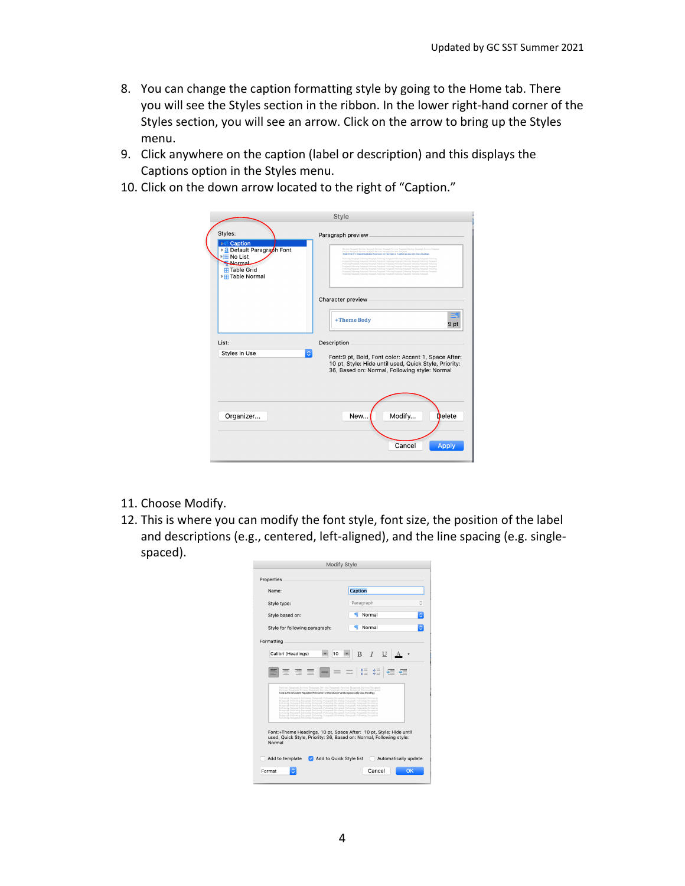- 8. You can change the caption formatting style by going to the Home tab. There you will see the Styles section in the ribbon. In the lower right-hand corner of the Styles section, you will see an arrow. Click on the arrow to bring up the Styles menu.
- 9. Click anywhere on the caption (label or description) and this displays the Captions option in the Styles menu.
- 10. Click on the down arrow located to the right of "Caption."

|                                                                                                                                                           | <b>Style</b>                                                                                                                                                                                                                                                                                                                                                                                                                                                                                                                                                                                                                                                                                                                                                                                                                                                                                                                                                                                |
|-----------------------------------------------------------------------------------------------------------------------------------------------------------|---------------------------------------------------------------------------------------------------------------------------------------------------------------------------------------------------------------------------------------------------------------------------------------------------------------------------------------------------------------------------------------------------------------------------------------------------------------------------------------------------------------------------------------------------------------------------------------------------------------------------------------------------------------------------------------------------------------------------------------------------------------------------------------------------------------------------------------------------------------------------------------------------------------------------------------------------------------------------------------------|
| Styles:<br><b>Dell Caption</b><br>▶ a Default Paragraph Font<br>$\blacktriangleright$ $\equiv$ No List<br>Normal<br><b>H</b> Table Grid<br>▶ Table Normal | Paragraph preview<br>Previous Pazagzoph Previous Pazagzoph Previous Pazagzoph Previous Pazagzoph Previous Pazagzoph<br>Perious Panamoh Pervices Panamoh Pervices Panamoh Pervices Panamoh<br>Table STNLV's Student Prodution Preference for Chocolate or Vanilla Cuscales: (By Class-Standing).<br>Following Pamgraph Following Pamgraph Following Pamgraph Following Pamgraph Following Pamg<br>Pangoph Following Pangoph Following Pangoph Following Pangoph Following Pangoph Following Pangoph<br>Following Pasagraph Following Pasagraph Following Pasagraph Following Pasagraph Following<br>Pangraph Following Pangraph Following Pangraph Following Pangraph Following Pangraph<br>Fellowing Pastgraph Fellowing Pastgraph Fellowing Pastgraph Fellowing Pastgraph Fellowing<br>Panguph Following Panguph Following Panguph Following Panguph Following Panguph Following Panguph<br>Fellowing Pangraph Fellowing Pangraph Fellowing Pangraph Fellowing Pangraph Fellowing Pangraph |
|                                                                                                                                                           | Character preview                                                                                                                                                                                                                                                                                                                                                                                                                                                                                                                                                                                                                                                                                                                                                                                                                                                                                                                                                                           |
|                                                                                                                                                           | +Theme Body<br>9 pt                                                                                                                                                                                                                                                                                                                                                                                                                                                                                                                                                                                                                                                                                                                                                                                                                                                                                                                                                                         |
| List:                                                                                                                                                     | Description                                                                                                                                                                                                                                                                                                                                                                                                                                                                                                                                                                                                                                                                                                                                                                                                                                                                                                                                                                                 |
| $\Diamond$<br><b>Styles in Use</b>                                                                                                                        | Font:9 pt, Bold, Font color: Accent 1, Space After:<br>10 pt, Style: Hide until used, Quick Style, Priority:<br>36, Based on: Normal, Following style: Normal                                                                                                                                                                                                                                                                                                                                                                                                                                                                                                                                                                                                                                                                                                                                                                                                                               |
|                                                                                                                                                           |                                                                                                                                                                                                                                                                                                                                                                                                                                                                                                                                                                                                                                                                                                                                                                                                                                                                                                                                                                                             |
| Organizer                                                                                                                                                 | Modify<br>Delete<br>New                                                                                                                                                                                                                                                                                                                                                                                                                                                                                                                                                                                                                                                                                                                                                                                                                                                                                                                                                                     |
|                                                                                                                                                           | Cancel<br>Apply                                                                                                                                                                                                                                                                                                                                                                                                                                                                                                                                                                                                                                                                                                                                                                                                                                                                                                                                                                             |

11. Choose Modify.

 $\overline{\mathcal{L}}$ 

12. This is where you can modify the font style, font size, the position of the label and descriptions (e.g., centered, left-aligned), and the line spacing (e.g. singlespaced).

| Name:                                   | Caption                                                                                                                                                                                                                                                                                                                                                                          |  |
|-----------------------------------------|----------------------------------------------------------------------------------------------------------------------------------------------------------------------------------------------------------------------------------------------------------------------------------------------------------------------------------------------------------------------------------|--|
| Style type:                             | Paragraph                                                                                                                                                                                                                                                                                                                                                                        |  |
| Style based on:                         | Normal<br>Œ                                                                                                                                                                                                                                                                                                                                                                      |  |
| Style for following paragraph:          | Normal<br>n                                                                                                                                                                                                                                                                                                                                                                      |  |
| Formatting                              |                                                                                                                                                                                                                                                                                                                                                                                  |  |
| Calibri (Headings)                      | B<br>$I$ U<br>10                                                                                                                                                                                                                                                                                                                                                                 |  |
| $\equiv$ $\equiv$ $\equiv$              | $i = i$                                                                                                                                                                                                                                                                                                                                                                          |  |
|                                         | Provings Paragraph Persioan Paragraph Provings Paragraph Persioan Paragraph Provings Paragraph<br>Previous Paragraph Previous Paragraph Previous Paragraph Previous Paragraph Previous Paragraph<br>Table 1UNLV's Student Population Preference for Chocolate or Vanilla Cupcakes (by Class-Standing).                                                                           |  |
|                                         | Following Paragraph Following Paragraph Following Paragraph Following Paragraph Following<br>Paragraph Following Paragraph Following Paragraph Following Paragraph Following Paragraph<br>Pollowing Paragraph Following Paragraph Following Paragraph Following Paragraph Following<br>Persgraph Following Passgraph Following Paragraph Following Paragraph Following Paragraph |  |
| Following Paragraph Following Paragraph | Following Perseraph Following Paragraph Following Perseraph Following Paragraph Following<br>Paragraph Following Paragraph Following Paragraph Following Paragraph Following Paragraph<br>Following Paragraph Following Paragraph Following Paragraph Following Paragraph Following<br>Paragraph Following Paragraph Following Paragraph Following Paragraph Following Paragraph |  |
|                                         |                                                                                                                                                                                                                                                                                                                                                                                  |  |
| Normal                                  | Font:+Theme Headings, 10 pt, Space After: 10 pt, Style: Hide until<br>used, Quick Style, Priority: 36, Based on: Normal, Following style:                                                                                                                                                                                                                                        |  |
|                                         |                                                                                                                                                                                                                                                                                                                                                                                  |  |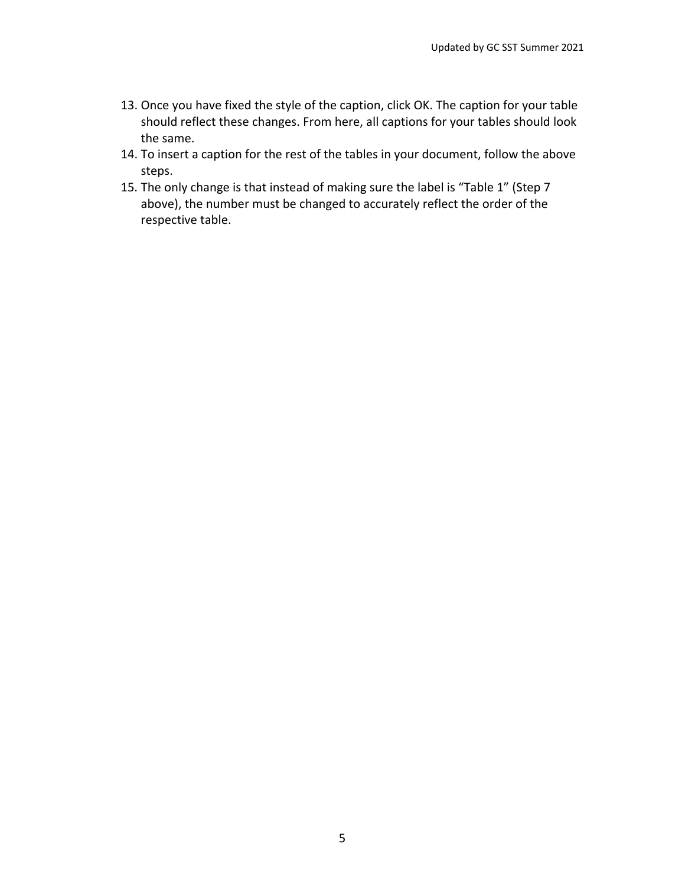- 13. Once you have fixed the style of the caption, click OK. The caption for your table should reflect these changes. From here, all captions for your tables should look the same.
- 14. To insert a caption for the rest of the tables in your document, follow the above steps.
- 15. The only change is that instead of making sure the label is "Table 1" (Step 7 above), the number must be changed to accurately reflect the order of the respective table.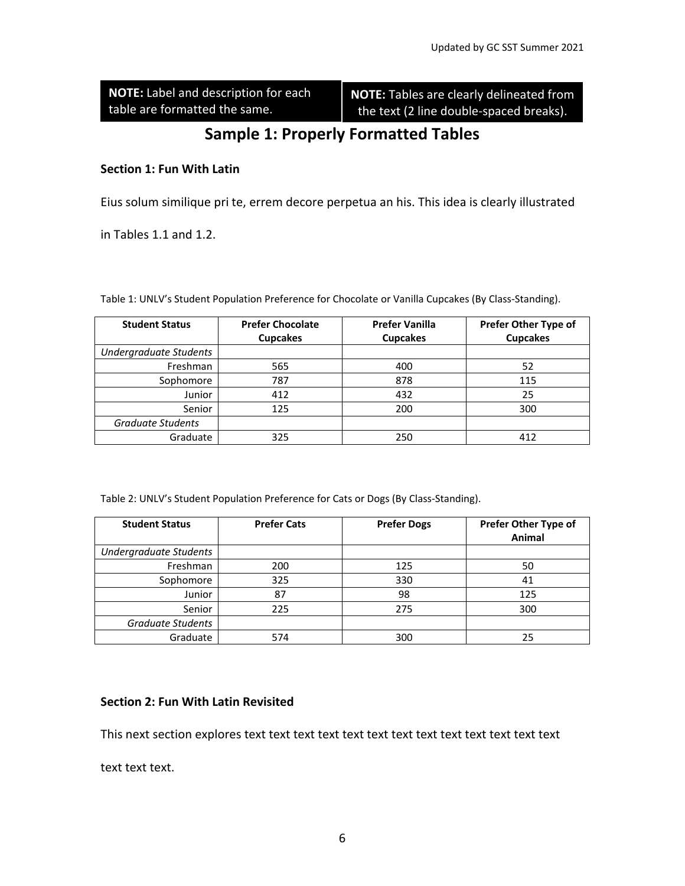**NOTE:** Label and description for each table are formatted the same.

**NOTE:** Tables are clearly delineated from the text (2 line double-spaced breaks).

# **Sample 1: Properly Formatted Tables**

## **Section 1: Fun With Latin**

Eius solum similique pri te, errem decore perpetua an his. This idea is clearly illustrated

in Tables 1.1 and 1.2.

Table 1: UNLV's Student Population Preference for Chocolate or Vanilla Cupcakes (By Class-Standing).

| <b>Student Status</b>    | <b>Prefer Chocolate</b><br><b>Cupcakes</b> | <b>Prefer Vanilla</b><br><b>Cupcakes</b> | Prefer Other Type of<br><b>Cupcakes</b> |
|--------------------------|--------------------------------------------|------------------------------------------|-----------------------------------------|
| Undergraduate Students   |                                            |                                          |                                         |
| Freshman                 | 565                                        | 400                                      | 52                                      |
| Sophomore                | 787                                        | 878                                      | 115                                     |
| Junior                   | 412                                        | 432                                      | 25                                      |
| Senior                   | 125                                        | 200                                      | 300                                     |
| <b>Graduate Students</b> |                                            |                                          |                                         |
| Graduate                 | 325                                        | 250                                      | 412                                     |

Table 2: UNLV's Student Population Preference for Cats or Dogs (By Class-Standing).

| <b>Student Status</b>    | <b>Prefer Cats</b> | <b>Prefer Dogs</b> | Prefer Other Type of<br>Animal |
|--------------------------|--------------------|--------------------|--------------------------------|
| Undergraduate Students   |                    |                    |                                |
| Freshman                 | 200                | 125                | 50                             |
| Sophomore                | 325                | 330                | 41                             |
| Junior                   | 87                 | 98                 | 125                            |
| Senior                   | 225                | 275                | 300                            |
| <b>Graduate Students</b> |                    |                    |                                |
| Graduate                 | 574                | 300                | 25                             |

#### **Section 2: Fun With Latin Revisited**

This next section explores text text text text text text text text text text text text text

text text text.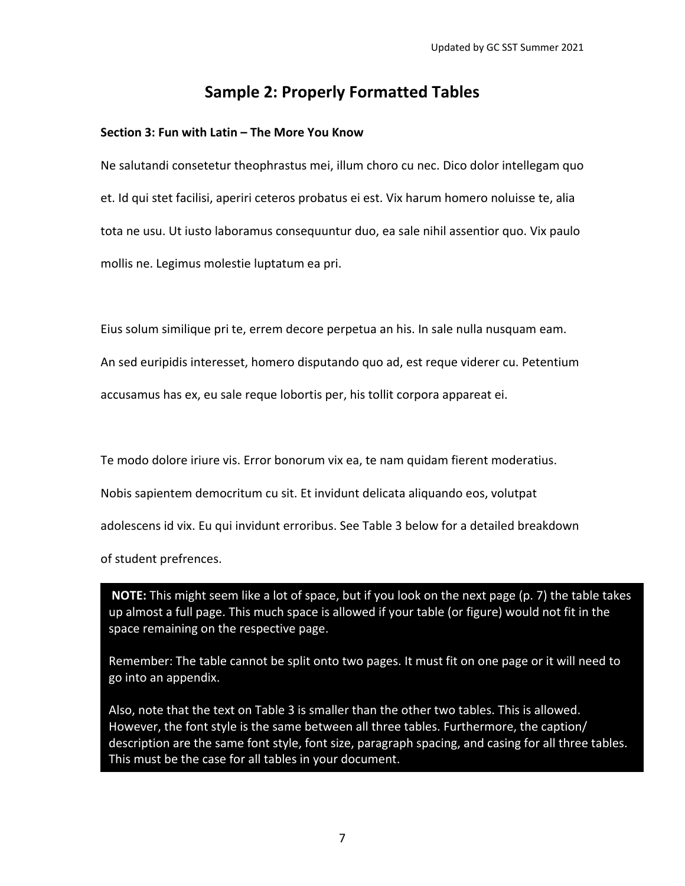## **Sample 2: Properly Formatted Tables**

#### **Section 3: Fun with Latin – The More You Know**

Ne salutandi consetetur theophrastus mei, illum choro cu nec. Dico dolor intellegam quo et. Id qui stet facilisi, aperiri ceteros probatus ei est. Vix harum homero noluisse te, alia tota ne usu. Ut iusto laboramus consequuntur duo, ea sale nihil assentior quo. Vix paulo mollis ne. Legimus molestie luptatum ea pri.

Eius solum similique pri te, errem decore perpetua an his. In sale nulla nusquam eam.

An sed euripidis interesset, homero disputando quo ad, est reque viderer cu. Petentium

accusamus has ex, eu sale reque lobortis per, his tollit corpora appareat ei.

Te modo dolore iriure vis. Error bonorum vix ea, te nam quidam fierent moderatius.

Nobis sapientem democritum cu sit. Et invidunt delicata aliquando eos, volutpat

adolescens id vix. Eu qui invidunt erroribus. See Table 3 below for a detailed breakdown

of student prefrences.

**NOTE:** This might seem like a lot of space, but if you look on the next page (p. 7) the table takes up almost a full page. This much space is allowed if your table (or figure) would not fit in the space remaining on the respective page.

Remember: The table cannot be split onto two pages. It must fit on one page or it will need to go into an appendix.

Also, note that the text on Table 3 is smaller than the other two tables. This is allowed. However, the font style is the same between all three tables. Furthermore, the caption/ description are the same font style, font size, paragraph spacing, and casing for all three tables. This must be the case for all tables in your document.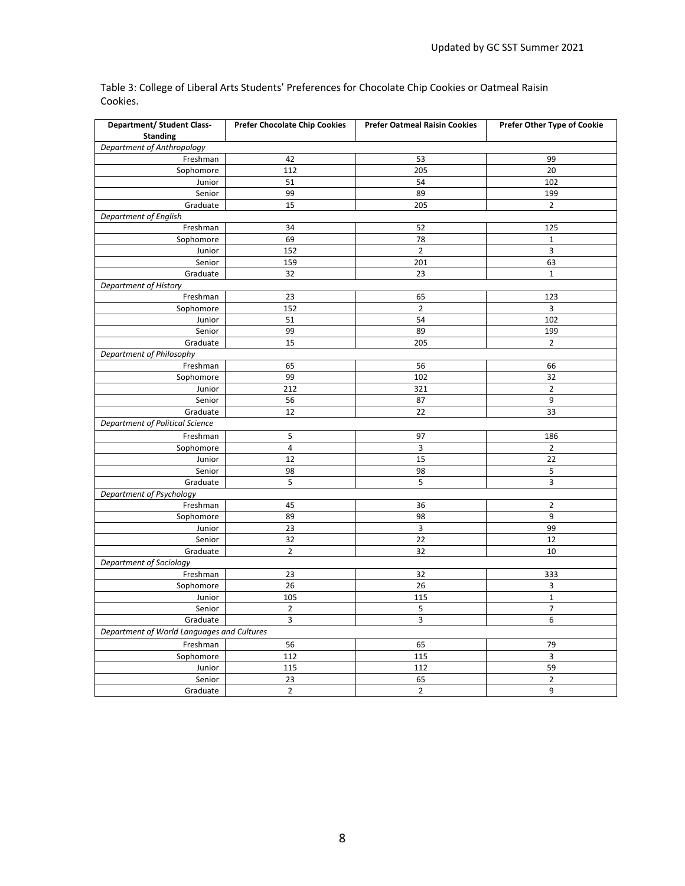| <b>Department/ Student Class-</b>          | <b>Prefer Chocolate Chip Cookies</b> | <b>Prefer Oatmeal Raisin Cookies</b> | Prefer Other Type of Cookie |
|--------------------------------------------|--------------------------------------|--------------------------------------|-----------------------------|
| <b>Standing</b>                            |                                      |                                      |                             |
| Department of Anthropology                 |                                      |                                      |                             |
| Freshman                                   | 42                                   | 53                                   | 99                          |
| Sophomore                                  | 112                                  | 205                                  | 20                          |
| Junior                                     | 51                                   | 54                                   | 102                         |
| Senior                                     | 99                                   | 89                                   | 199                         |
| Graduate                                   | 15                                   | 205                                  | $\overline{2}$              |
| Department of English                      |                                      |                                      |                             |
| Freshman                                   | 34                                   | 52                                   | 125                         |
| Sophomore                                  | 69                                   | 78                                   | $\mathbf 1$                 |
| Junior                                     | 152                                  | $\overline{2}$                       | 3                           |
| Senior                                     | 159                                  | 201                                  | 63                          |
| Graduate                                   | 32                                   | 23                                   | $\mathbf{1}$                |
| Department of History                      |                                      |                                      |                             |
| Freshman                                   | 23                                   | 65                                   | 123                         |
| Sophomore                                  | 152                                  | $\mathbf 2$                          | 3                           |
| Junior                                     | 51                                   | 54                                   | 102                         |
| Senior                                     | 99                                   | 89                                   | 199                         |
| Graduate                                   | 15                                   | 205                                  | $\overline{2}$              |
| Department of Philosophy                   |                                      |                                      |                             |
| Freshman                                   | 65                                   | 56                                   | 66                          |
| Sophomore                                  | 99                                   | 102                                  | 32                          |
| Junior                                     | 212                                  | 321                                  | $\overline{2}$              |
| Senior                                     | 56                                   | 87                                   | 9                           |
| Graduate                                   | 12                                   | 22                                   | 33                          |
| Department of Political Science            |                                      |                                      |                             |
| Freshman                                   | 5                                    | 97                                   | 186                         |
| Sophomore                                  | $\overline{4}$                       | 3                                    | $\overline{2}$              |
| Junior                                     | 12                                   | 15                                   | 22                          |
| Senior                                     | 98                                   | 98                                   | 5                           |
| Graduate                                   | 5                                    | 5                                    | 3                           |
| Department of Psychology                   |                                      |                                      |                             |
| Freshman                                   | 45                                   | 36                                   | $\overline{2}$              |
|                                            | 89                                   | 98                                   | 9                           |
| Sophomore<br>Junior                        | 23                                   | 3                                    | 99                          |
|                                            | 32                                   | 22                                   | 12                          |
| Senior<br>Graduate                         | $\overline{2}$                       | 32                                   | 10                          |
|                                            |                                      |                                      |                             |
| Department of Sociology                    | 23                                   |                                      |                             |
| Freshman                                   | 26                                   | 32                                   | 333                         |
| Sophomore                                  |                                      | 26                                   | 3                           |
| Junior                                     | 105                                  | 115                                  | $\mathbf 1$                 |
| Senior                                     | $\overline{2}$<br>3                  | 5                                    | $\overline{7}$<br>6         |
| Graduate                                   |                                      | 3                                    |                             |
| Department of World Languages and Cultures |                                      |                                      |                             |
| Freshman                                   | 56                                   | 65                                   | 79                          |
| Sophomore                                  | 112                                  | 115                                  | 3                           |
| Junior                                     | 115                                  | 112                                  | 59                          |
| Senior                                     | 23                                   | 65                                   | $\overline{2}$              |
| Graduate                                   | $\overline{2}$                       | $\overline{2}$                       | 9                           |

Table 3: College of Liberal Arts Students' Preferences for Chocolate Chip Cookies or Oatmeal Raisin Cookies.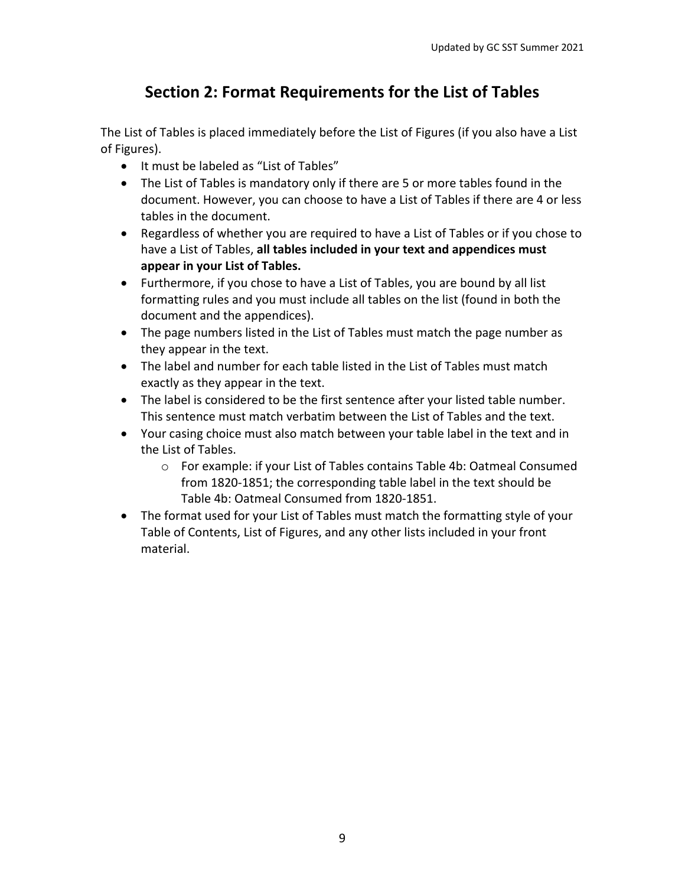# **Section 2: Format Requirements for the List of Tables**

The List of Tables is placed immediately before the List of Figures (if you also have a List of Figures).

- It must be labeled as "List of Tables"
- The List of Tables is mandatory only if there are 5 or more tables found in the document. However, you can choose to have a List of Tables if there are 4 or less tables in the document.
- Regardless of whether you are required to have a List of Tables or if you chose to have a List of Tables, **all tables included in your text and appendices must appear in your List of Tables.**
- Furthermore, if you chose to have a List of Tables, you are bound by all list formatting rules and you must include all tables on the list (found in both the document and the appendices).
- The page numbers listed in the List of Tables must match the page number as they appear in the text.
- The label and number for each table listed in the List of Tables must match exactly as they appear in the text.
- The label is considered to be the first sentence after your listed table number. This sentence must match verbatim between the List of Tables and the text.
- Your casing choice must also match between your table label in the text and in the List of Tables.
	- o For example: if your List of Tables contains Table 4b: Oatmeal Consumed from 1820-1851; the corresponding table label in the text should be Table 4b: Oatmeal Consumed from 1820-1851.
- The format used for your List of Tables must match the formatting style of your Table of Contents, List of Figures, and any other lists included in your front material.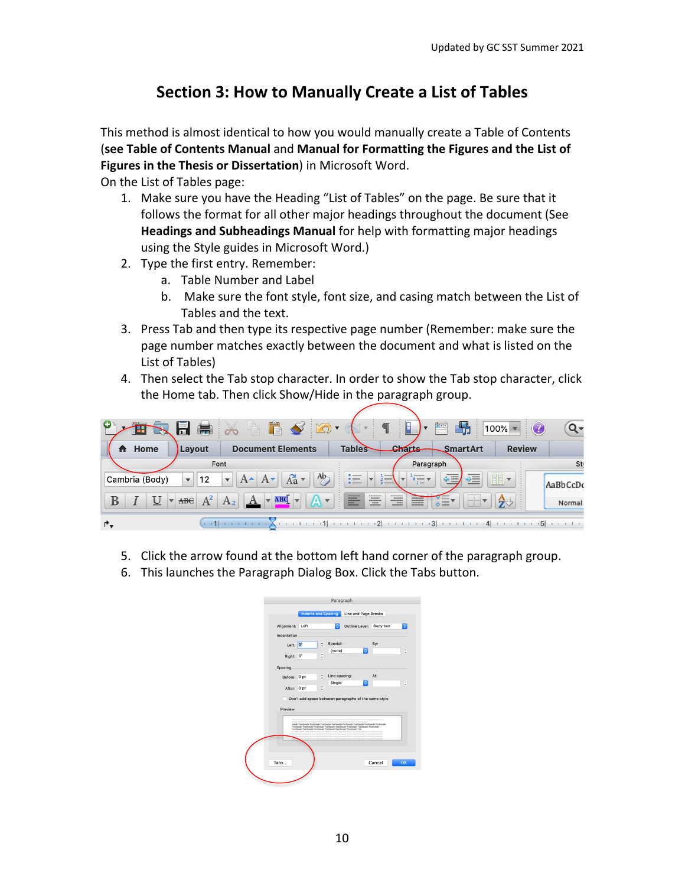# **Section 3: How to Manually Create a List of Tables**

This method is almost identical to how you would manually create a Table of Contents (**see Table of Contents Manual** and **Manual for Formatting the Figures and the List of Figures in the Thesis or Dissertation**) in Microsoft Word.

On the List of Tables page:

- 1. Make sure you have the Heading "List of Tables" on the page. Be sure that it follows the format for all other major headings throughout the document (See **Headings and Subheadings Manual** for help with formatting major headings using the Style guides in Microsoft Word.)
- 2. Type the first entry. Remember:
	- a. Table Number and Label
	- b. Make sure the font style, font size, and casing match between the List of Tables and the text.
- 3. Press Tab and then type its respective page number (Remember: make sure the page number matches exactly between the document and what is listed on the List of Tables)
- 4. Then select the Tab stop character. In order to show the Tab stop character, click the Home tab. Then click Show/Hide in the paragraph group.



- 5. Click the arrow found at the bottom left hand corner of the paragraph group.
- 6. This launches the Paragraph Dialog Box. Click the Tabs button.

| Alignment:<br>Indentation | Left | ö                                                                      | Outline Level:                                                                                                                                                                                                                                                                           | <b>Body text</b> | I¢. |
|---------------------------|------|------------------------------------------------------------------------|------------------------------------------------------------------------------------------------------------------------------------------------------------------------------------------------------------------------------------------------------------------------------------------|------------------|-----|
| Left: 0"                  |      | Special:<br>¢                                                          |                                                                                                                                                                                                                                                                                          | By:              |     |
|                           |      | (none)                                                                 | ¢                                                                                                                                                                                                                                                                                        |                  |     |
| Right: 0"                 |      | $\overline{\phantom{a}}$<br>v                                          |                                                                                                                                                                                                                                                                                          |                  |     |
| Spacing                   |      |                                                                        |                                                                                                                                                                                                                                                                                          |                  |     |
| Before: 0 pt              |      | Line spacing:<br>ċ                                                     |                                                                                                                                                                                                                                                                                          | At:              |     |
|                           |      | Single<br>$\sim$                                                       | ö                                                                                                                                                                                                                                                                                        |                  |     |
| After: 0 pt               |      | $\check{ }$                                                            |                                                                                                                                                                                                                                                                                          |                  |     |
|                           |      |                                                                        |                                                                                                                                                                                                                                                                                          |                  |     |
|                           |      |                                                                        | Don't add space between paragraphs of the same style                                                                                                                                                                                                                                     |                  |     |
| Preview                   |      |                                                                        |                                                                                                                                                                                                                                                                                          |                  |     |
|                           |      |                                                                        |                                                                                                                                                                                                                                                                                          |                  |     |
|                           |      |                                                                        | Painters of Perylage Painters of Perylage Painters of Perylage Painters & Perylage Painters<br>Sample TextSample TextSample TextSample TextSample TextSample TextSample TextSample TextSample<br>TextSample TextSample TextSample TextSample TextSample TextSample TextSample TextSample |                  |     |
|                           |      | TextSample TextSample TextSample TextSample TextSample TextSample Text | Following Pamgraph Following Pamgraph Following Paragraph Following Pamgraph Following Paragraph<br>Following Pengmah Following Pengmah Following Pengmah Following Pengmah Following Pengmah                                                                                            |                  |     |
|                           |      |                                                                        | Ing Painters and Following Painters and Following Paymentals Full and the Painters of Painters Painters Painters<br>month Pol Sowing Purpers all-Pol Sowing Purpers all-Pol Sowing Purpers on Purpers Purpers all                                                                        |                  |     |
|                           |      |                                                                        |                                                                                                                                                                                                                                                                                          |                  |     |
|                           |      |                                                                        |                                                                                                                                                                                                                                                                                          |                  |     |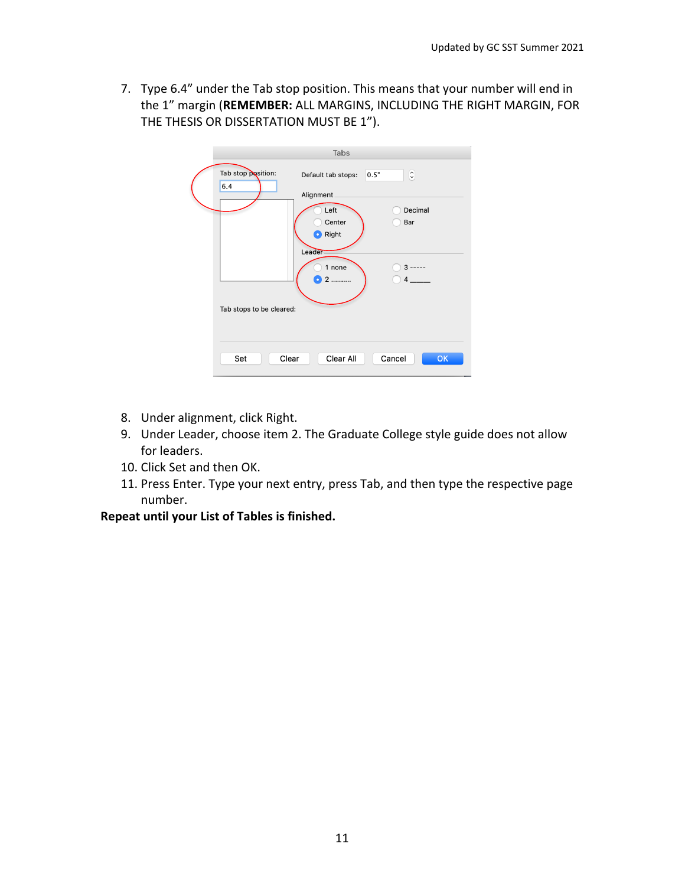7. Type 6.4" under the Tab stop position. This means that your number will end in the 1" margin (**REMEMBER:** ALL MARGINS, INCLUDING THE RIGHT MARGIN, FOR THE THESIS OR DISSERTATION MUST BE 1").

|                           | Tabs                                    |                |
|---------------------------|-----------------------------------------|----------------|
| Tab stop position:<br>6.4 | 0.5"<br>Default tab stops:<br>Alignment | $\hat{\cdot}$  |
|                           | Left<br>Center<br><b>D</b> Right        | Decimal<br>Bar |
|                           | Leader<br>1 none<br>2                   | $3 -$          |
| Tab stops to be cleared:  |                                         |                |
| Set                       | Clear All<br>Clear                      | Cancel<br>OK   |

- 8. Under alignment, click Right.
- 9. Under Leader, choose item 2. The Graduate College style guide does not allow for leaders.
- 10. Click Set and then OK.
- 11. Press Enter. Type your next entry, press Tab, and then type the respective page number.

**Repeat until your List of Tables is finished.**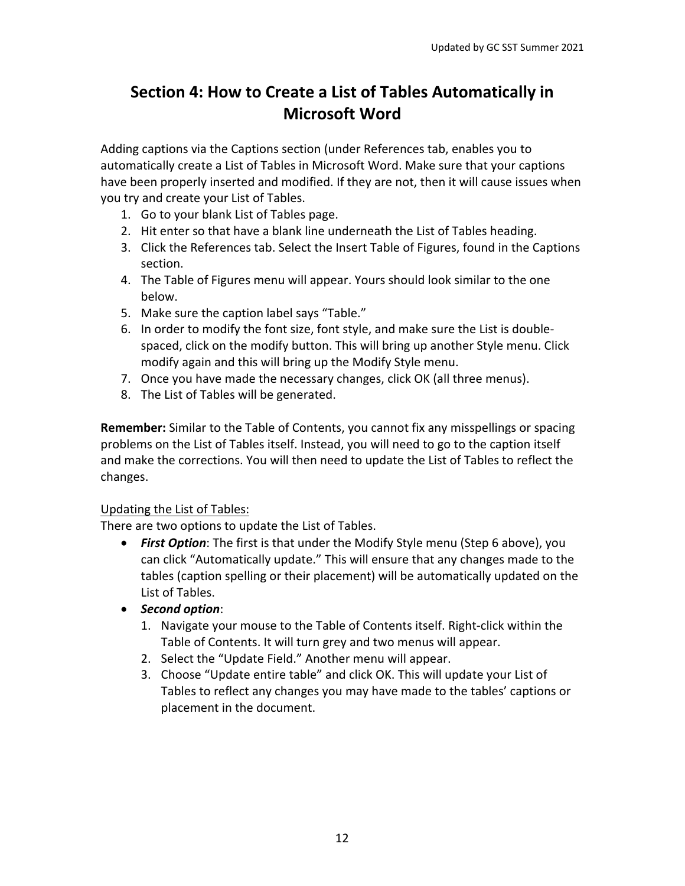# **Section 4: How to Create a List of Tables Automatically in Microsoft Word**

Adding captions via the Captions section (under References tab, enables you to automatically create a List of Tables in Microsoft Word. Make sure that your captions have been properly inserted and modified. If they are not, then it will cause issues when you try and create your List of Tables.

- 1. Go to your blank List of Tables page.
- 2. Hit enter so that have a blank line underneath the List of Tables heading.
- 3. Click the References tab. Select the Insert Table of Figures, found in the Captions section.
- 4. The Table of Figures menu will appear. Yours should look similar to the one below.
- 5. Make sure the caption label says "Table."
- 6. In order to modify the font size, font style, and make sure the List is doublespaced, click on the modify button. This will bring up another Style menu. Click modify again and this will bring up the Modify Style menu.
- 7. Once you have made the necessary changes, click OK (all three menus).
- 8. The List of Tables will be generated.

**Remember:** Similar to the Table of Contents, you cannot fix any misspellings or spacing problems on the List of Tables itself. Instead, you will need to go to the caption itself and make the corrections. You will then need to update the List of Tables to reflect the changes.

## Updating the List of Tables:

There are two options to update the List of Tables.

- *First Option*: The first is that under the Modify Style menu (Step 6 above), you can click "Automatically update." This will ensure that any changes made to the tables (caption spelling or their placement) will be automatically updated on the List of Tables.
- *Second option*:
	- 1. Navigate your mouse to the Table of Contents itself. Right-click within the Table of Contents. It will turn grey and two menus will appear.
	- 2. Select the "Update Field." Another menu will appear.
	- 3. Choose "Update entire table" and click OK. This will update your List of Tables to reflect any changes you may have made to the tables' captions or placement in the document.